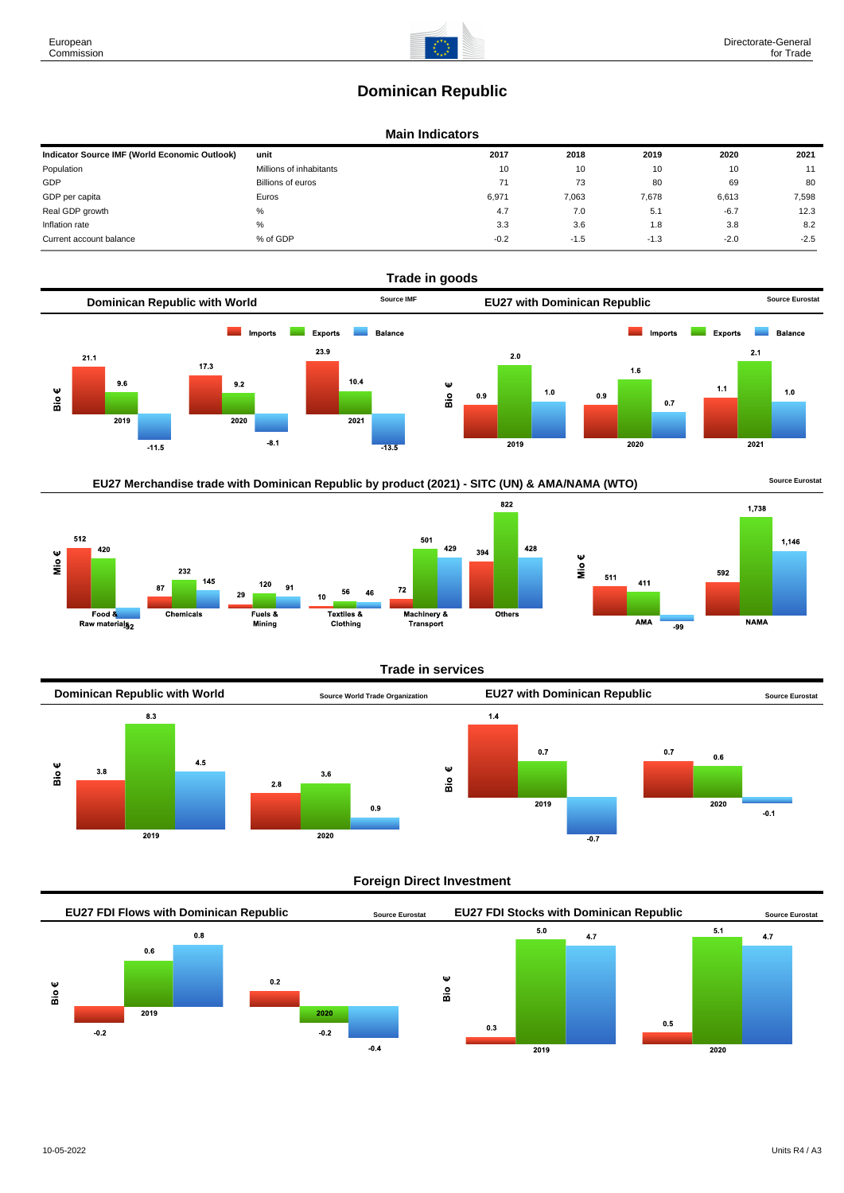# **Dominican Republic**

### **Main Indicators**

| Indicator Source IMF (World Economic Outlook) | unit                     | 2017   | 2018   | 2019   | 2020   | 2021   |
|-----------------------------------------------|--------------------------|--------|--------|--------|--------|--------|
| Population                                    | Millions of inhabitants  | 10     | 10     | 10     | 10     | 11     |
| GDP                                           | <b>Billions of euros</b> | 71     | 73     | 80     | 69     | 80     |
| GDP per capita                                | Euros                    | 6,971  | 7,063  | 7,678  | 6,613  | 7,598  |
| Real GDP growth                               | %                        | 4.7    | 7.0    | 5.1    | $-6.7$ | 12.3   |
| Inflation rate                                | %                        | 3.3    | 3.6    | 1.8    | 3.8    | 8.2    |
| Current account balance                       | % of GDP                 | $-0.2$ | $-1.5$ | $-1.3$ | $-2.0$ | $-2.5$ |









#### **Trade in services**



#### **Foreign Direct Investment**



European Commission